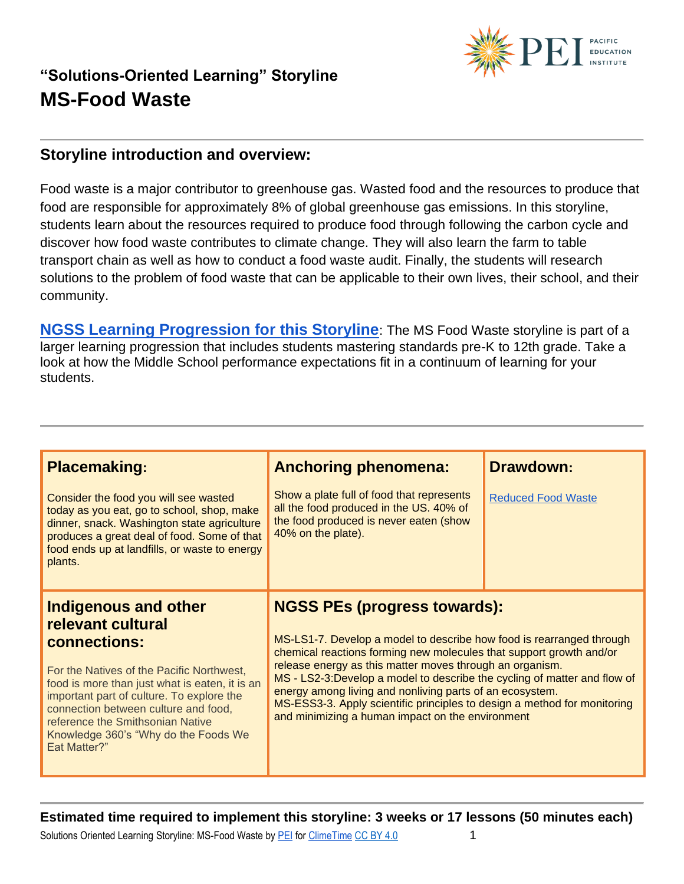

### **Storyline introduction and overview:**

Food waste is a major contributor to greenhouse gas. Wasted food and the resources to produce that food are responsible for approximately 8% of global greenhouse gas emissions. In this storyline, students learn about the resources required to produce food through following the carbon cycle and discover how food waste contributes to climate change. They will also learn the farm to table transport chain as well as how to conduct a food waste audit. Finally, the students will research solutions to the problem of food waste that can be applicable to their own lives, their school, and their community.

**[NGSS Learning Progression for this Storyline](https://pacificeductioninstitute.sharepoint.com/:x:/s/Program/EVbT_LcvK9ZLv6JltsAvbpEBHaNLj_wMBpQe7UriIBFBNg?e=nucjks)**: The MS Food Waste storyline is part of a larger learning progression that includes students mastering standards pre-K to 12th grade. Take a look at how the Middle School performance expectations fit in a continuum of learning for your students.

| <b>Placemaking:</b><br>Consider the food you will see wasted<br>today as you eat, go to school, shop, make<br>dinner, snack. Washington state agriculture<br>produces a great deal of food. Some of that<br>food ends up at landfills, or waste to energy                                                                                                   | <b>Anchoring phenomena:</b><br>Show a plate full of food that represents<br>all the food produced in the US. 40% of<br>the food produced is never eaten (show<br>40% on the plate).                                                                                                                                                                                                                                                                                                                                     | <b>Drawdown:</b><br><b>Reduced Food Waste</b> |
|-------------------------------------------------------------------------------------------------------------------------------------------------------------------------------------------------------------------------------------------------------------------------------------------------------------------------------------------------------------|-------------------------------------------------------------------------------------------------------------------------------------------------------------------------------------------------------------------------------------------------------------------------------------------------------------------------------------------------------------------------------------------------------------------------------------------------------------------------------------------------------------------------|-----------------------------------------------|
| plants.<br><b>Indigenous and other</b><br>relevant cultural<br>connections:<br>For the Natives of the Pacific Northwest,<br>food is more than just what is eaten, it is an<br>important part of culture. To explore the<br>connection between culture and food,<br>reference the Smithsonian Native<br>Knowledge 360's "Why do the Foods We<br>Eat Matter?" | <b>NGSS PEs (progress towards):</b><br>MS-LS1-7. Develop a model to describe how food is rearranged through<br>chemical reactions forming new molecules that support growth and/or<br>release energy as this matter moves through an organism.<br>MS - LS2-3: Develop a model to describe the cycling of matter and flow of<br>energy among living and nonliving parts of an ecosystem.<br>MS-ESS3-3. Apply scientific principles to design a method for monitoring<br>and minimizing a human impact on the environment |                                               |

**Estimated time required to implement this storyline: 3 weeks or 17 lessons (50 minutes each)**

Solutions Oriented Learning Storyline: MS-Food Waste by [PEI](https://pacificeducationinstitute.org/) for [ClimeTime](https://www.climetime.org/) [CC BY 4.0](https://creativecommons.org/licenses/by/4.0/) 1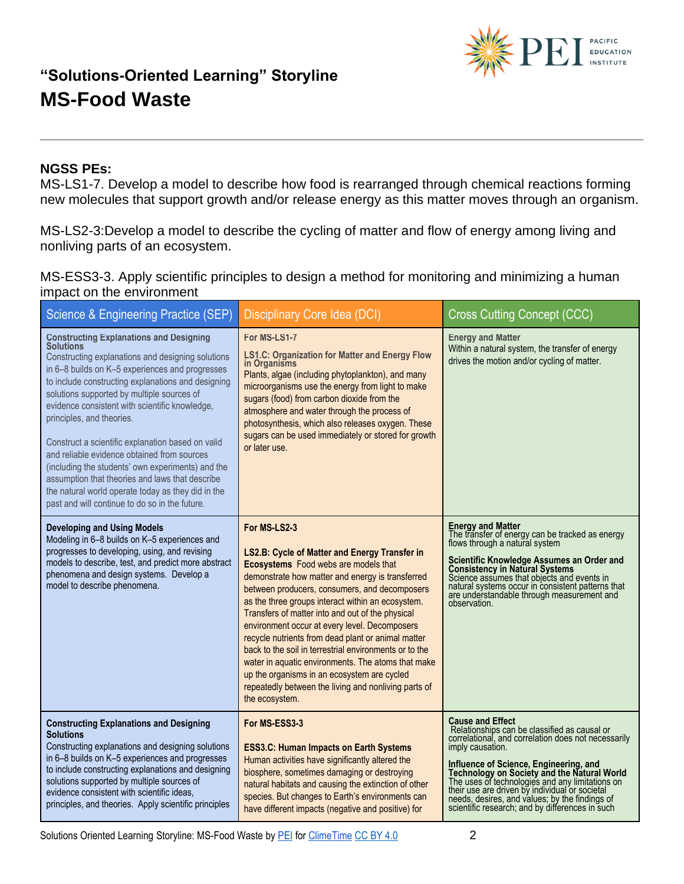

#### **NGSS PEs:**

MS-LS1-7. Develop a model to describe how food is rearranged through chemical reactions forming new molecules that support growth and/or release energy as this matter moves through an organism.

MS-LS2-3:Develop a model to describe the cycling of matter and flow of energy among living and nonliving parts of an ecosystem.

MS-ESS3-3. Apply scientific principles to design a method for monitoring and minimizing a human impact on the environment

| Science & Engineering Practice (SEP)                                                                                                                                                                                                                                                                                                                                                                                                                                                                                                                                                                                                                                    | <b>Disciplinary Core Idea (DCI)</b>                                                                                                                                                                                                                                                                                                                                                                                                                                                                                                                                                                                                                                 | <b>Cross Cutting Concept (CCC)</b>                                                                                                                                                                                                                                                                                                                                                                                                                    |
|-------------------------------------------------------------------------------------------------------------------------------------------------------------------------------------------------------------------------------------------------------------------------------------------------------------------------------------------------------------------------------------------------------------------------------------------------------------------------------------------------------------------------------------------------------------------------------------------------------------------------------------------------------------------------|---------------------------------------------------------------------------------------------------------------------------------------------------------------------------------------------------------------------------------------------------------------------------------------------------------------------------------------------------------------------------------------------------------------------------------------------------------------------------------------------------------------------------------------------------------------------------------------------------------------------------------------------------------------------|-------------------------------------------------------------------------------------------------------------------------------------------------------------------------------------------------------------------------------------------------------------------------------------------------------------------------------------------------------------------------------------------------------------------------------------------------------|
| <b>Constructing Explanations and Designing Solutions</b><br>Constructing explanations and designing solutions<br>in 6-8 builds on K-5 experiences and progresses<br>to include constructing explanations and designing<br>solutions supported by multiple sources of<br>evidence consistent with scientific knowledge,<br>principles, and theories.<br>Construct a scientific explanation based on valid<br>and reliable evidence obtained from sources<br>(including the students' own experiments) and the<br>assumption that theories and laws that describe<br>the natural world operate today as they did in the<br>past and will continue to do so in the future. | For MS-LS1-7<br><b>LS1.C: Organization for Matter and Energy Flow</b><br>in Organisms<br>Plants, algae (including phytoplankton), and many<br>microorganisms use the energy from light to make<br>sugars (food) from carbon dioxide from the<br>atmosphere and water through the process of<br>photosynthesis, which also releases oxygen. These<br>sugars can be used immediately or stored for growth<br>or later use.                                                                                                                                                                                                                                            | <b>Energy and Matter</b><br>Within a natural system, the transfer of energy<br>drives the motion and/or cycling of matter.                                                                                                                                                                                                                                                                                                                            |
| <b>Developing and Using Models</b><br>Modeling in 6-8 builds on K-5 experiences and<br>progresses to developing, using, and revising<br>models to describe, test, and predict more abstract<br>phenomena and design systems. Develop a<br>model to describe phenomena.                                                                                                                                                                                                                                                                                                                                                                                                  | For MS-LS2-3<br>LS2.B: Cycle of Matter and Energy Transfer in<br>Ecosystems Food webs are models that<br>demonstrate how matter and energy is transferred<br>between producers, consumers, and decomposers<br>as the three groups interact within an ecosystem.<br>Transfers of matter into and out of the physical<br>environment occur at every level. Decomposers<br>recycle nutrients from dead plant or animal matter<br>back to the soil in terrestrial environments or to the<br>water in aquatic environments. The atoms that make<br>up the organisms in an ecosystem are cycled<br>repeatedly between the living and nonliving parts of<br>the ecosystem. | <b>Energy and Matter</b><br>The transfer of energy can be tracked as energy<br>flows through a natural system<br>Scientific Knowledge Assumes an Order and<br><b>Consistency in Natural Systems</b><br>Science assumes that objects and events in<br>natural systems occur in consistent patterns that<br>are understandable through measurement and<br>observation.                                                                                  |
| <b>Constructing Explanations and Designing</b><br><b>Solutions</b><br>Constructing explanations and designing solutions<br>in 6-8 builds on K-5 experiences and progresses<br>to include constructing explanations and designing<br>solutions supported by multiple sources of<br>evidence consistent with scientific ideas,<br>principles, and theories. Apply scientific principles                                                                                                                                                                                                                                                                                   | For MS-ESS3-3<br><b>ESS3.C: Human Impacts on Earth Systems</b><br>Human activities have significantly altered the<br>biosphere, sometimes damaging or destroying<br>natural habitats and causing the extinction of other<br>species. But changes to Earth's environments can<br>have different impacts (negative and positive) for                                                                                                                                                                                                                                                                                                                                  | <b>Cause and Effect</b><br>Relationships can be classified as causal or<br>correlational, and correlation does not necessarily<br>imply causation.<br>Influence of Science, Engineering, and<br>Technology on Society and the Natural World<br>The uses of technologies and any limitations on<br>their use are driven by individual or societal<br>needs, desires, and values; by the findings of<br>scientific research; and by differences in such |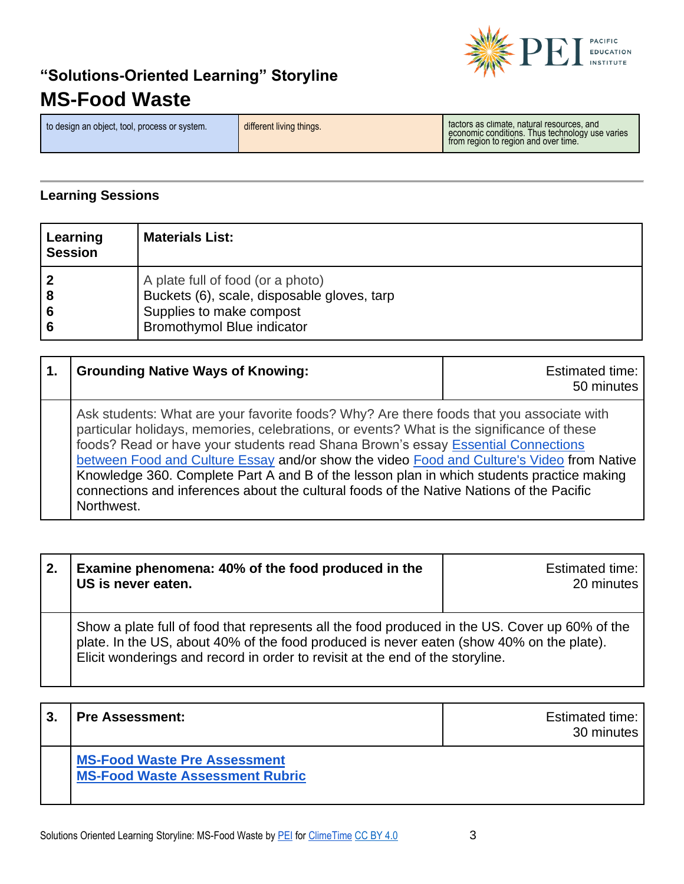

to design an object, tool, process or system.<br> **different living things.** Thus technology use varies and economic conditions. Thus technology use varies from region to region and over time.

#### **Learning Sessions**

| Learning<br><b>Session</b> | <b>Materials List:</b>                                                                                                                            |
|----------------------------|---------------------------------------------------------------------------------------------------------------------------------------------------|
|                            | A plate full of food (or a photo)<br>Buckets (6), scale, disposable gloves, tarp<br>Supplies to make compost<br><b>Bromothymol Blue indicator</b> |

| <b>Grounding Native Ways of Knowing:</b>                                                                                                                                                                                                                                                                                                                                                                                                                                                                                                                                      | Estimated time:<br>50 minutes |
|-------------------------------------------------------------------------------------------------------------------------------------------------------------------------------------------------------------------------------------------------------------------------------------------------------------------------------------------------------------------------------------------------------------------------------------------------------------------------------------------------------------------------------------------------------------------------------|-------------------------------|
| Ask students: What are your favorite foods? Why? Are there foods that you associate with<br>particular holidays, memories, celebrations, or events? What is the significance of these<br>foods? Read or have your students read Shana Brown's essay Essential Connections<br>between Food and Culture Essay and/or show the video Food and Culture's Video from Native<br>Knowledge 360. Complete Part A and B of the lesson plan in which students practice making<br>connections and inferences about the cultural foods of the Native Nations of the Pacific<br>Northwest. |                               |

| 2. | Examine phenomena: 40% of the food produced in the<br>US is never eaten.                                                                                                                                                                                                    | <b>Estimated time:</b><br>20 minutes |
|----|-----------------------------------------------------------------------------------------------------------------------------------------------------------------------------------------------------------------------------------------------------------------------------|--------------------------------------|
|    | Show a plate full of food that represents all the food produced in the US. Cover up 60% of the<br>plate. In the US, about 40% of the food produced is never eaten (show 40% on the plate).<br>Elicit wonderings and record in order to revisit at the end of the storyline. |                                      |

| 3. | <b>Pre Assessment:</b>                                                        | <b>Estimated time:</b><br>30 minutes |
|----|-------------------------------------------------------------------------------|--------------------------------------|
|    | <b>MS-Food Waste Pre Assessment</b><br><b>MS-Food Waste Assessment Rubric</b> |                                      |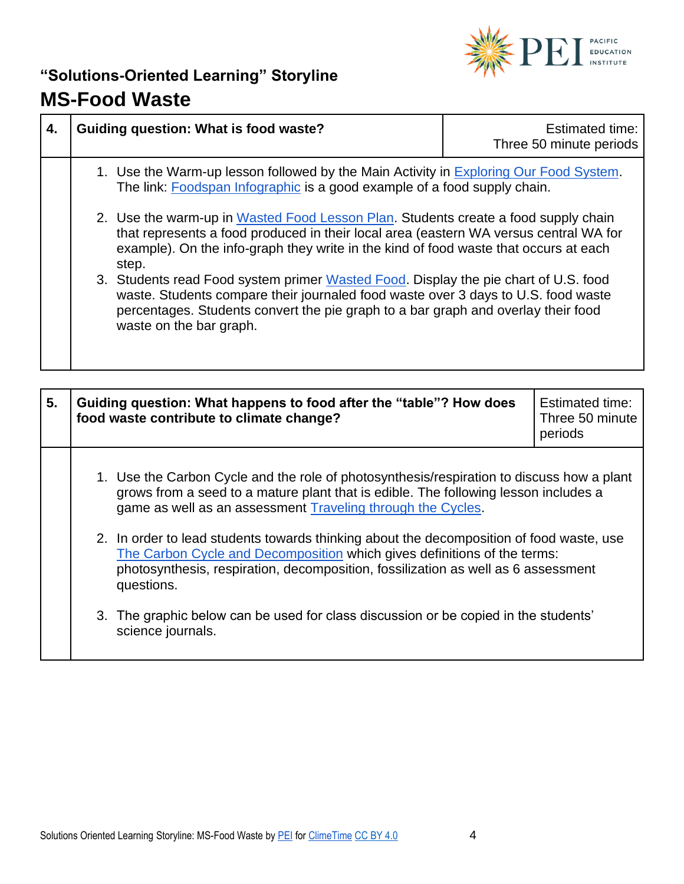

| 4. | Guiding question: What is food waste?                                                                                                                                                                                                                                                    | <b>Estimated time:</b><br>Three 50 minute periods |
|----|------------------------------------------------------------------------------------------------------------------------------------------------------------------------------------------------------------------------------------------------------------------------------------------|---------------------------------------------------|
|    | 1. Use the Warm-up lesson followed by the Main Activity in Exploring Our Food System.<br>The link: <b>Foodspan Infographic</b> is a good example of a food supply chain.                                                                                                                 |                                                   |
|    | 2. Use the warm-up in Wasted Food Lesson Plan. Students create a food supply chain<br>that represents a food produced in their local area (eastern WA versus central WA for<br>example). On the info-graph they write in the kind of food waste that occurs at each<br>step.             |                                                   |
|    | 3. Students read Food system primer Wasted Food. Display the pie chart of U.S. food<br>waste. Students compare their journaled food waste over 3 days to U.S. food waste<br>percentages. Students convert the pie graph to a bar graph and overlay their food<br>waste on the bar graph. |                                                   |

| 5. | Guiding question: What happens to food after the "table"? How does<br>food waste contribute to climate change?                                                                                                                                                          | <b>Estimated time:</b><br>Three 50 minute<br>periods |
|----|-------------------------------------------------------------------------------------------------------------------------------------------------------------------------------------------------------------------------------------------------------------------------|------------------------------------------------------|
|    | 1. Use the Carbon Cycle and the role of photosynthesis/respiration to discuss how a plant<br>grows from a seed to a mature plant that is edible. The following lesson includes a<br>game as well as an assessment Traveling through the Cycles.                         |                                                      |
|    | 2. In order to lead students towards thinking about the decomposition of food waste, use<br>The Carbon Cycle and Decomposition which gives definitions of the terms:<br>photosynthesis, respiration, decomposition, fossilization as well as 6 assessment<br>questions. |                                                      |
|    | 3. The graphic below can be used for class discussion or be copied in the students'<br>science journals.                                                                                                                                                                |                                                      |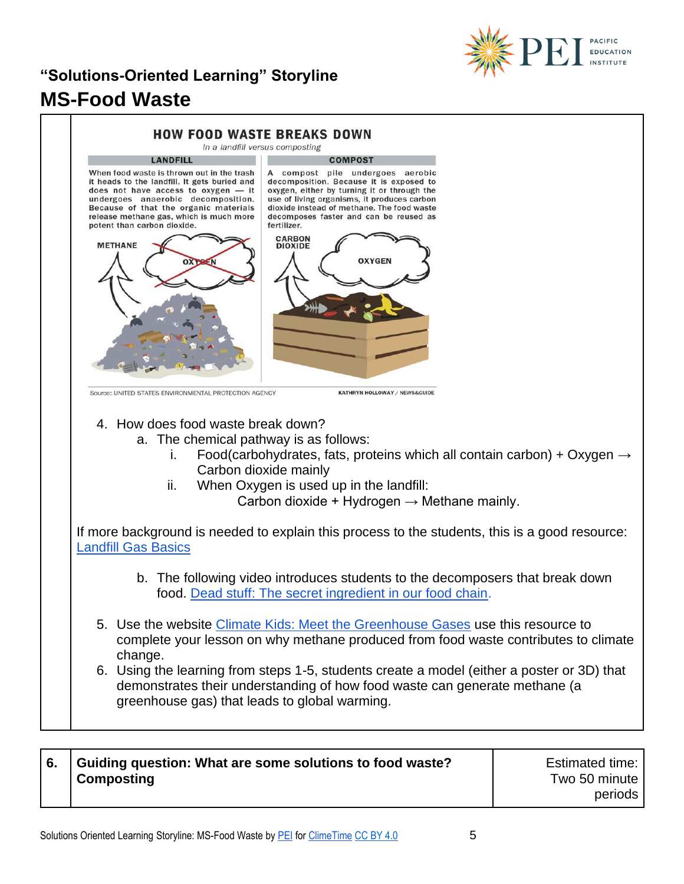



| l 6. | Guiding question: What are some solutions to food waste? | Estimated time: |
|------|----------------------------------------------------------|-----------------|
|      | <b>Composting</b>                                        | Two 50 minute   |
|      |                                                          | periods         |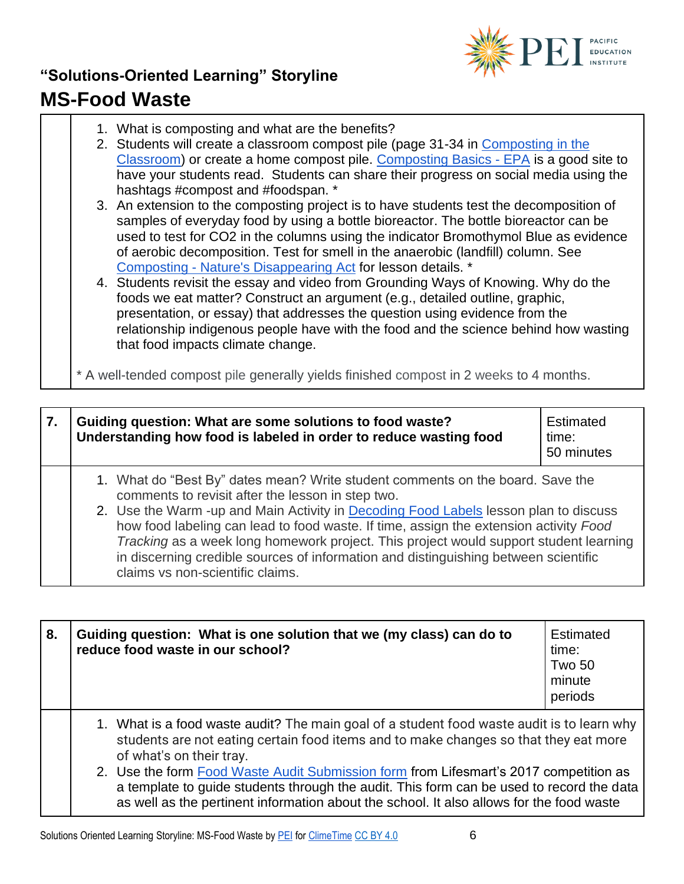

| 1. What is composting and what are the benefits? |  |
|--------------------------------------------------|--|
|--------------------------------------------------|--|

- 2. Students will create a classroom compost pile (page 31-34 in [Composting in the](http://cwmi.css.cornell.edu/compostingintheclassroom.pdf)  [Classroom\)](http://cwmi.css.cornell.edu/compostingintheclassroom.pdf) or create a home compost pile. [Composting Basics -](https://www.epa.gov/recycle/composting-home) EPA is a good site to have your students read. Students can share their progress on social media using the hashtags #compost and #foodspan. \*
- 3. An extension to the composting project is to have students test the decomposition of samples of everyday food by using a bottle bioreactor. The bottle bioreactor can be used to test for CO2 in the columns using the indicator Bromothymol Blue as evidence of aerobic decomposition. Test for smell in the anaerobic (landfill) column. See Composting - [Nature's Disappearing Act](https://www.teachengineering.org/activities/view/cub_environ_lesson05_activity2) for lesson details. \*
- 4. Students revisit the essay and video from Grounding Ways of Knowing. Why do the foods we eat matter? Construct an argument (e.g., detailed outline, graphic, presentation, or essay) that addresses the question using evidence from the relationship indigenous people have with the food and the science behind how wasting that food impacts climate change.

\* A well-tended compost pile generally yields finished compost in 2 weeks to 4 months.

| 7. | Guiding question: What are some solutions to food waste?<br>Understanding how food is labeled in order to reduce wasting food                                                                                                                                                                                                                                                                                                                                                                                                            | Estimated<br>time:<br>50 minutes |
|----|------------------------------------------------------------------------------------------------------------------------------------------------------------------------------------------------------------------------------------------------------------------------------------------------------------------------------------------------------------------------------------------------------------------------------------------------------------------------------------------------------------------------------------------|----------------------------------|
|    | 1. What do "Best By" dates mean? Write student comments on the board. Save the<br>comments to revisit after the lesson in step two.<br>2. Use the Warm -up and Main Activity in Decoding Food Labels lesson plan to discuss<br>how food labeling can lead to food waste. If time, assign the extension activity Food<br>Tracking as a week long homework project. This project would support student learning<br>in discerning credible sources of information and distinguishing between scientific<br>claims vs non-scientific claims. |                                  |

| 8. | Guiding question: What is one solution that we (my class) can do to<br>reduce food waste in our school?                                                                                                                                                                                                                                                                                                                                                                                         | <b>Estimated</b><br>time:<br><b>Two 50</b><br>minute<br>periods |
|----|-------------------------------------------------------------------------------------------------------------------------------------------------------------------------------------------------------------------------------------------------------------------------------------------------------------------------------------------------------------------------------------------------------------------------------------------------------------------------------------------------|-----------------------------------------------------------------|
|    | 1. What is a food waste audit? The main goal of a student food waste audit is to learn why<br>students are not eating certain food items and to make changes so that they eat more<br>of what's on their tray.<br>2. Use the form Food Waste Audit Submission form from Lifesmart's 2017 competition as<br>a template to quide students through the audit. This form can be used to record the data<br>as well as the pertinent information about the school. It also allows for the food waste |                                                                 |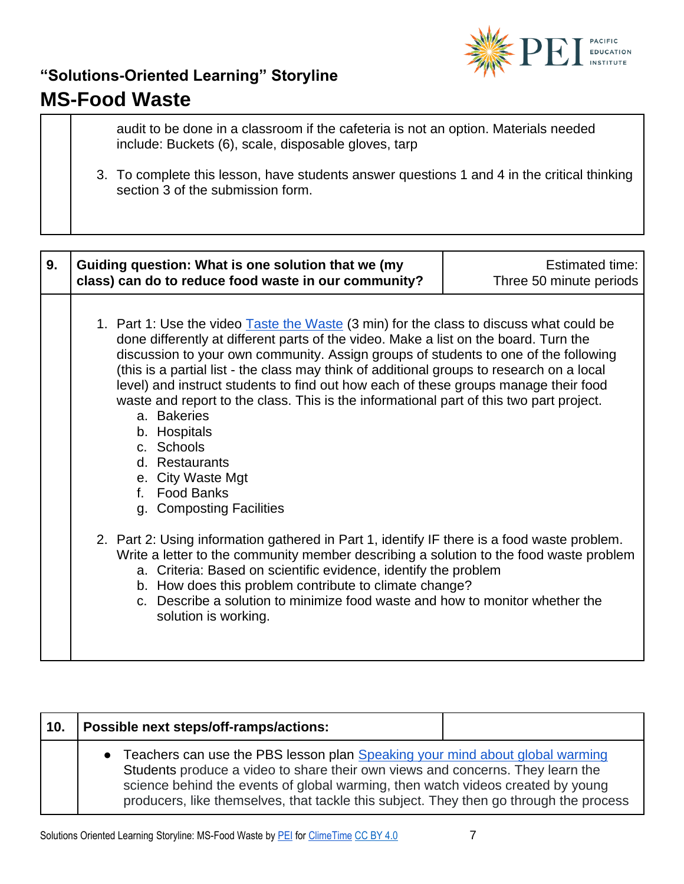

audit to be done in a classroom if the cafeteria is not an option. Materials needed include: Buckets (6), scale, disposable gloves, tarp

3. To complete this lesson, have students answer questions 1 and 4 in the critical thinking section 3 of the submission form.

| 9. | Guiding question: What is one solution that we (my<br>class) can do to reduce food waste in our community?                                                                                                                                                                                                                                                                                                                                                                                                                                                                                                                                                                                                                                                                                                                                                                                                                                                                                                                                                                                                                     | <b>Estimated time:</b><br>Three 50 minute periods |
|----|--------------------------------------------------------------------------------------------------------------------------------------------------------------------------------------------------------------------------------------------------------------------------------------------------------------------------------------------------------------------------------------------------------------------------------------------------------------------------------------------------------------------------------------------------------------------------------------------------------------------------------------------------------------------------------------------------------------------------------------------------------------------------------------------------------------------------------------------------------------------------------------------------------------------------------------------------------------------------------------------------------------------------------------------------------------------------------------------------------------------------------|---------------------------------------------------|
|    | 1. Part 1: Use the video Taste the Waste (3 min) for the class to discuss what could be<br>done differently at different parts of the video. Make a list on the board. Turn the<br>discussion to your own community. Assign groups of students to one of the following<br>(this is a partial list - the class may think of additional groups to research on a local<br>level) and instruct students to find out how each of these groups manage their food<br>waste and report to the class. This is the informational part of this two part project.<br>a. Bakeries<br>b. Hospitals<br>c. Schools<br>d. Restaurants<br>e. City Waste Mgt<br><b>Food Banks</b><br>f.<br>g. Composting Facilities<br>2. Part 2: Using information gathered in Part 1, identify IF there is a food waste problem.<br>Write a letter to the community member describing a solution to the food waste problem<br>a. Criteria: Based on scientific evidence, identify the problem<br>b. How does this problem contribute to climate change?<br>c. Describe a solution to minimize food waste and how to monitor whether the<br>solution is working. |                                                   |

| 10. | Possible next steps/off-ramps/actions:                                                                                                                                                                                                                                                                                                      |  |
|-----|---------------------------------------------------------------------------------------------------------------------------------------------------------------------------------------------------------------------------------------------------------------------------------------------------------------------------------------------|--|
|     | Teachers can use the PBS lesson plan Speaking your mind about global warming<br>Students produce a video to share their own views and concerns. They learn the<br>science behind the events of global warming, then watch videos created by young<br>producers, like themselves, that tackle this subject. They then go through the process |  |